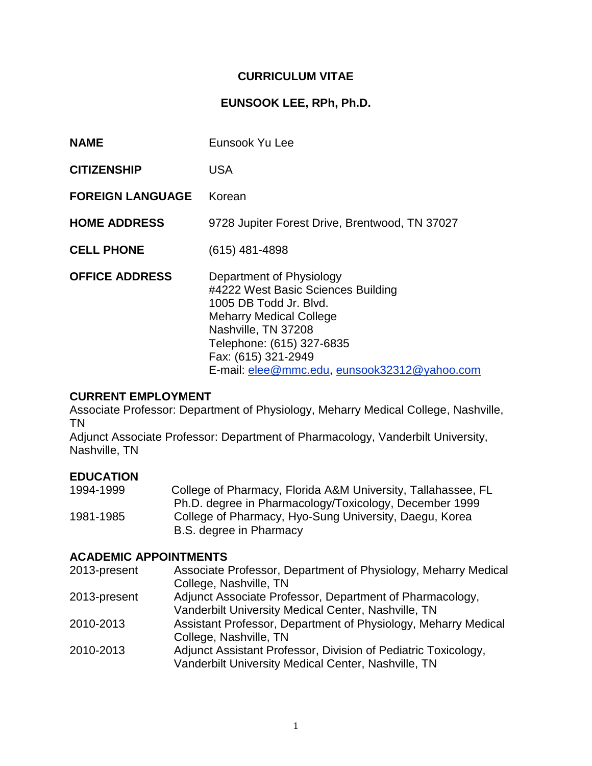# **CURRICULUM VITAE**

### **EUNSOOK LEE, RPh, Ph.D.**

| <b>NAME</b>             | Eunsook Yu Lee                                                                                                                                                                                                                                        |
|-------------------------|-------------------------------------------------------------------------------------------------------------------------------------------------------------------------------------------------------------------------------------------------------|
| <b>CITIZENSHIP</b>      | USA                                                                                                                                                                                                                                                   |
| <b>FOREIGN LANGUAGE</b> | Korean                                                                                                                                                                                                                                                |
| <b>HOME ADDRESS</b>     | 9728 Jupiter Forest Drive, Brentwood, TN 37027                                                                                                                                                                                                        |
| <b>CELL PHONE</b>       | $(615)$ 481-4898                                                                                                                                                                                                                                      |
| <b>OFFICE ADDRESS</b>   | Department of Physiology<br>#4222 West Basic Sciences Building<br>1005 DB Todd Jr. Blvd.<br><b>Meharry Medical College</b><br>Nashville, TN 37208<br>Telephone: (615) 327-6835<br>Fax: (615) 321-2949<br>E-mail: elee@mmc.edu, eunsook32312@yahoo.com |

# **CURRENT EMPLOYMENT**

Associate Professor: Department of Physiology, Meharry Medical College, Nashville, TN

Adjunct Associate Professor: Department of Pharmacology, Vanderbilt University, Nashville, TN

#### **EDUCATION**

| 1994-1999 | College of Pharmacy, Florida A&M University, Tallahassee, FL |
|-----------|--------------------------------------------------------------|
|           | Ph.D. degree in Pharmacology/Toxicology, December 1999       |
| 1981-1985 | College of Pharmacy, Hyo-Sung University, Daegu, Korea       |
|           | B.S. degree in Pharmacy                                      |

# **ACADEMIC APPOINTMENTS**

| 2013-present | Associate Professor, Department of Physiology, Meharry Medical |
|--------------|----------------------------------------------------------------|
|              | College, Nashville, TN                                         |
| 2013-present | Adjunct Associate Professor, Department of Pharmacology,       |
|              | Vanderbilt University Medical Center, Nashville, TN            |
| 2010-2013    | Assistant Professor, Department of Physiology, Meharry Medical |
|              | College, Nashville, TN                                         |
| 2010-2013    | Adjunct Assistant Professor, Division of Pediatric Toxicology, |
|              | Vanderbilt University Medical Center, Nashville, TN            |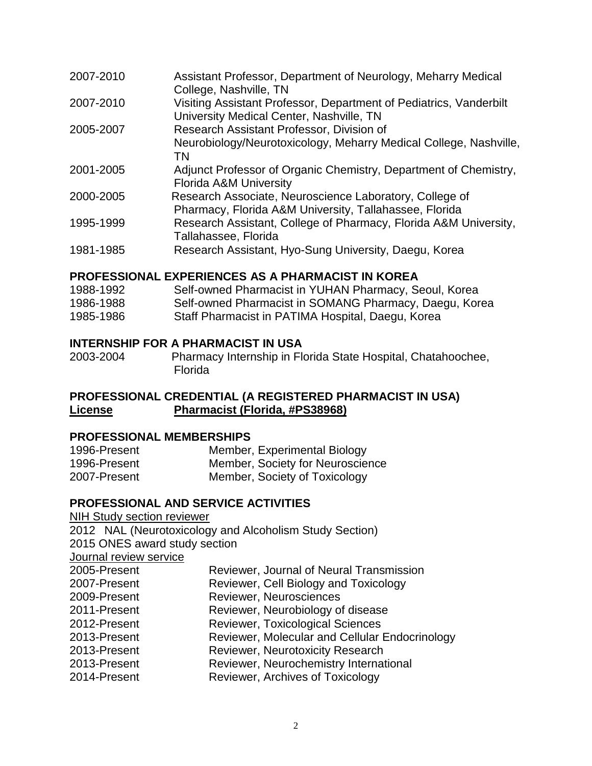| 2007-2010 | Assistant Professor, Department of Neurology, Meharry Medical<br>College, Nashville, TN                           |
|-----------|-------------------------------------------------------------------------------------------------------------------|
| 2007-2010 | Visiting Assistant Professor, Department of Pediatrics, Vanderbilt<br>University Medical Center, Nashville, TN    |
| 2005-2007 | Research Assistant Professor, Division of                                                                         |
|           | Neurobiology/Neurotoxicology, Meharry Medical College, Nashville,<br>ΤN                                           |
| 2001-2005 | Adjunct Professor of Organic Chemistry, Department of Chemistry,<br>Florida A&M University                        |
| 2000-2005 | Research Associate, Neuroscience Laboratory, College of<br>Pharmacy, Florida A&M University, Tallahassee, Florida |
| 1995-1999 | Research Assistant, College of Pharmacy, Florida A&M University,<br>Tallahassee, Florida                          |
| 1981-1985 | Research Assistant, Hyo-Sung University, Daegu, Korea                                                             |

#### **PROFESSIONAL EXPERIENCES AS A PHARMACIST IN KOREA**

| 1988-1992 | Self-owned Pharmacist in YUHAN Pharmacy, Seoul, Korea  |
|-----------|--------------------------------------------------------|
| 1986-1988 | Self-owned Pharmacist in SOMANG Pharmacy, Daegu, Korea |
| 1985-1986 | Staff Pharmacist in PATIMA Hospital, Daegu, Korea      |

#### **INTERNSHIP FOR A PHARMACIST IN USA**

2003-2004 Pharmacy Internship in Florida State Hospital, Chatahoochee, Florida

### **PROFESSIONAL CREDENTIAL (A REGISTERED PHARMACIST IN USA) License Pharmacist (Florida, #PS38968)**

#### **PROFESSIONAL MEMBERSHIPS**

| 1996-Present | Member, Experimental Biology     |
|--------------|----------------------------------|
| 1996-Present | Member, Society for Neuroscience |
| 2007-Present | Member, Society of Toxicology    |

#### **PROFESSIONAL AND SERVICE ACTIVITIES**

| <b>NIH Study section reviewer</b><br>2012 NAL (Neurotoxicology and Alcoholism Study Section) |
|----------------------------------------------------------------------------------------------|
| 2015 ONES award study section                                                                |
|                                                                                              |
| Reviewer, Journal of Neural Transmission                                                     |
| Reviewer, Cell Biology and Toxicology                                                        |
| Reviewer, Neurosciences                                                                      |
| Reviewer, Neurobiology of disease                                                            |
| <b>Reviewer, Toxicological Sciences</b>                                                      |
| Reviewer, Molecular and Cellular Endocrinology                                               |
| <b>Reviewer, Neurotoxicity Research</b>                                                      |
| Reviewer, Neurochemistry International                                                       |
| Reviewer, Archives of Toxicology                                                             |
|                                                                                              |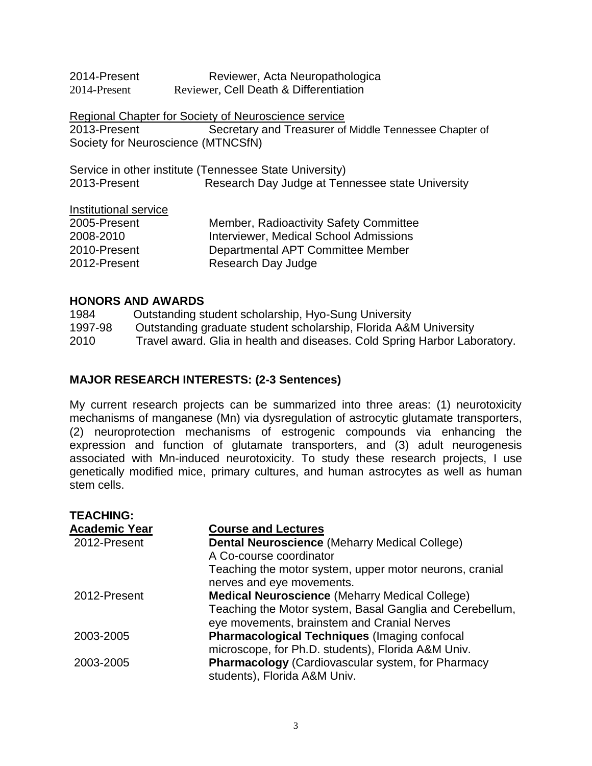| 2014-Present | Reviewer, Acta Neuropathologica        |
|--------------|----------------------------------------|
| 2014-Present | Reviewer, Cell Death & Differentiation |

Regional Chapter for Society of Neuroscience service 2013-Present Secretary and Treasurer of Middle Tennessee Chapter of Society for Neuroscience (MTNCSfN)

|              | Service in other institute (Tennessee State University) |
|--------------|---------------------------------------------------------|
| 2013-Present | Research Day Judge at Tennessee state University        |

#### Institutional service

| 2005-Present | Member, Radioactivity Safety Committee        |
|--------------|-----------------------------------------------|
| 2008-2010    | <b>Interviewer, Medical School Admissions</b> |
| 2010-Present | Departmental APT Committee Member             |
| 2012-Present | Research Day Judge                            |

#### **HONORS AND AWARDS**

1984 Outstanding student scholarship, Hyo-Sung University 1997-98 Outstanding graduate student scholarship, Florida A&M University 2010 Travel award. Glia in health and diseases. Cold Spring Harbor Laboratory.

#### **MAJOR RESEARCH INTERESTS: (2-3 Sentences)**

My current research projects can be summarized into three areas: (1) neurotoxicity mechanisms of manganese (Mn) via dysregulation of astrocytic glutamate transporters, (2) neuroprotection mechanisms of estrogenic compounds via enhancing the expression and function of glutamate transporters, and (3) adult neurogenesis associated with Mn-induced neurotoxicity. To study these research projects, I use genetically modified mice, primary cultures, and human astrocytes as well as human stem cells.

| <b>TEACHING:</b>     |                                                          |
|----------------------|----------------------------------------------------------|
| <b>Academic Year</b> | <b>Course and Lectures</b>                               |
| 2012-Present         | <b>Dental Neuroscience (Meharry Medical College)</b>     |
|                      | A Co-course coordinator                                  |
|                      | Teaching the motor system, upper motor neurons, cranial  |
|                      | nerves and eye movements.                                |
| 2012-Present         | <b>Medical Neuroscience (Meharry Medical College)</b>    |
|                      | Teaching the Motor system, Basal Ganglia and Cerebellum, |
|                      | eye movements, brainstem and Cranial Nerves              |
| 2003-2005            | <b>Pharmacological Techniques (Imaging confocal)</b>     |
|                      | microscope, for Ph.D. students), Florida A&M Univ.       |
| 2003-2005            | <b>Pharmacology</b> (Cardiovascular system, for Pharmacy |
|                      | students), Florida A&M Univ.                             |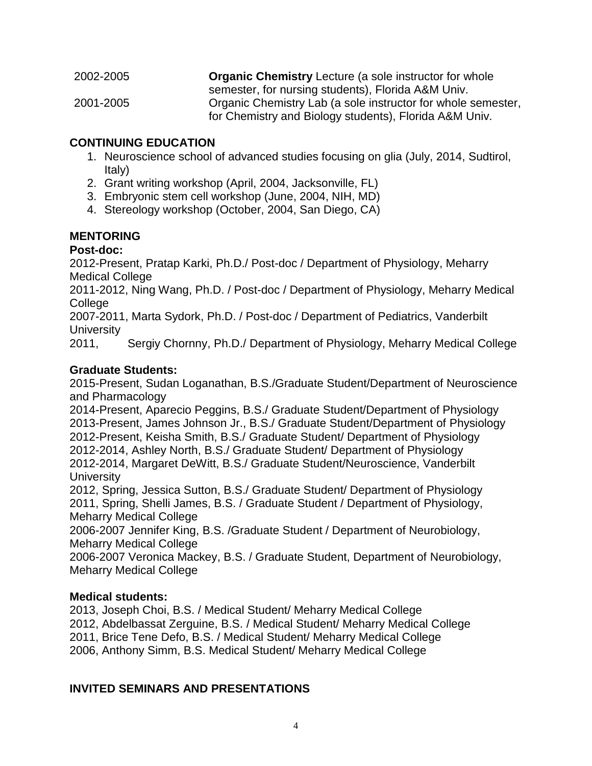| 2002-2005 | <b>Organic Chemistry Lecture (a sole instructor for whole</b> |
|-----------|---------------------------------------------------------------|
|           | semester, for nursing students), Florida A&M Univ.            |
| 2001-2005 | Organic Chemistry Lab (a sole instructor for whole semester,  |
|           | for Chemistry and Biology students), Florida A&M Univ.        |

#### **CONTINUING EDUCATION**

- 1. Neuroscience school of advanced studies focusing on glia (July, 2014, Sudtirol, Italy)
- 2. Grant writing workshop (April, 2004, Jacksonville, FL)
- 3. Embryonic stem cell workshop (June, 2004, NIH, MD)
- 4. Stereology workshop (October, 2004, San Diego, CA)

#### **MENTORING**

#### **Post-doc:**

2012-Present, Pratap Karki, Ph.D./ Post-doc / Department of Physiology, Meharry Medical College

2011-2012, Ning Wang, Ph.D. / Post-doc / Department of Physiology, Meharry Medical College

2007-2011, Marta Sydork, Ph.D. / Post-doc / Department of Pediatrics, Vanderbilt **University** 

2011, Sergiy Chornny, Ph.D./ Department of Physiology, Meharry Medical College

#### **Graduate Students:**

2015-Present, Sudan Loganathan, B.S./Graduate Student/Department of Neuroscience and Pharmacology

2014-Present, Aparecio Peggins, B.S./ Graduate Student/Department of Physiology 2013-Present, James Johnson Jr., B.S./ Graduate Student/Department of Physiology 2012-Present, Keisha Smith, B.S./ Graduate Student/ Department of Physiology 2012-2014, Ashley North, B.S./ Graduate Student/ Department of Physiology 2012-2014, Margaret DeWitt, B.S./ Graduate Student/Neuroscience, Vanderbilt **University** 

2012, Spring, Jessica Sutton, B.S./ Graduate Student/ Department of Physiology 2011, Spring, Shelli James, B.S. / Graduate Student / Department of Physiology, Meharry Medical College

2006-2007 Jennifer King, B.S. /Graduate Student / Department of Neurobiology, Meharry Medical College

2006-2007 Veronica Mackey, B.S. / Graduate Student, Department of Neurobiology, Meharry Medical College

### **Medical students:**

2013, Joseph Choi, B.S. / Medical Student/ Meharry Medical College 2012, Abdelbassat Zerguine, B.S. / Medical Student/ Meharry Medical College 2011, Brice Tene Defo, B.S. / Medical Student/ Meharry Medical College 2006, Anthony Simm, B.S. Medical Student/ Meharry Medical College

### **INVITED SEMINARS AND PRESENTATIONS**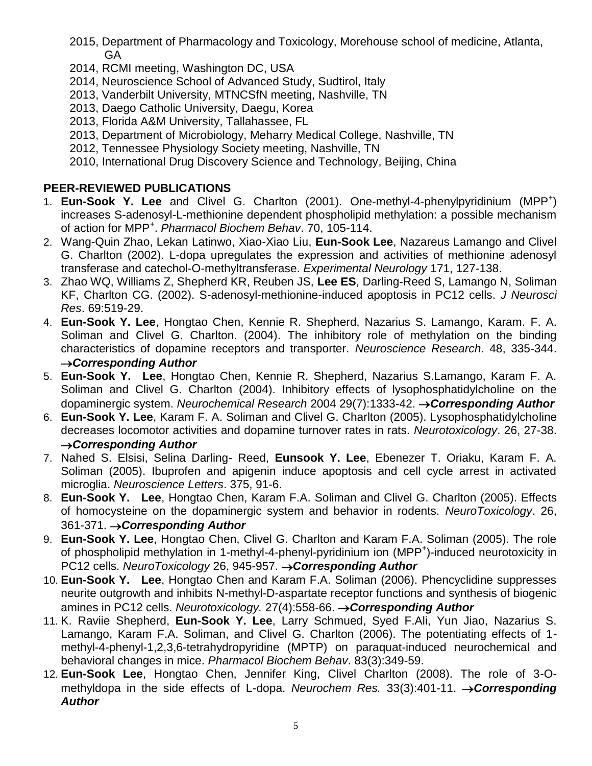- 2015, Department of Pharmacology and Toxicology, Morehouse school of medicine, Atlanta, GA
- 2014, RCMI meeting, Washington DC, USA
- 2014, Neuroscience School of Advanced Study, Sudtirol, Italy
- 2013, Vanderbilt University, MTNCSfN meeting, Nashville, TN
- 2013, Daego Catholic University, Daegu, Korea
- 2013, Florida A&M University, Tallahassee, FL
- 2013, Department of Microbiology, Meharry Medical College, Nashville, TN
- 2012, Tennessee Physiology Society meeting, Nashville, TN
- 2010, International Drug Discovery Science and Technology, Beijing, China

# **PEER-REVIEWED PUBLICATIONS**

- 1. **Eun-Sook Y. Lee** and Clivel G. Charlton (2001). One-methyl-4-phenylpyridinium (MPP<sup>+</sup>) increases S-adenosyl-L-methionine dependent phospholipid methylation: a possible mechanism of action for MPP<sup>+</sup> . *Pharmacol Biochem Behav*. 70, 105-114.
- 2. Wang-Quin Zhao, Lekan Latinwo, Xiao-Xiao Liu, **Eun-Sook Lee**, Nazareus Lamango and Clivel G. Charlton (2002). L-dopa upregulates the expression and activities of methionine adenosyl transferase and catechol-O-methyltransferase. *Experimental Neurology* 171, 127-138.
- 3. Zhao WQ, Williams Z, Shepherd KR, Reuben JS, **Lee ES**, Darling-Reed S, Lamango N, Soliman KF, Charlton CG. (2002). S-adenosyl-methionine-induced apoptosis in PC12 cells. *J Neurosci Res*. 69:519-29.
- 4. **Eun-Sook Y. Lee**, Hongtao Chen, Kennie R. Shepherd, Nazarius S. Lamango, Karam. F. A. Soliman and Clivel G. Charlton. (2004). The inhibitory role of methylation on the binding characteristics of dopamine receptors and transporter. *Neuroscience Research*. 48, 335-344. *Corresponding Author*
- 5. **Eun-Sook Y. Lee**, Hongtao Chen, Kennie R. Shepherd, Nazarius S.Lamango, Karam F. A. Soliman and Clivel G. Charlton (2004). Inhibitory effects of lysophosphatidylcholine on the dopaminergic system. *Neurochemical Research* 2004 29(7):1333-42. *Corresponding Author*
- 6. **Eun-Sook Y. Lee**, Karam F. A. Soliman and Clivel G. Charlton (2005). Lysophosphatidylcholine decreases locomotor activities and dopamine turnover rates in rats. *Neurotoxicology*. 26, 27-38. *Corresponding Author*
- 7. Nahed S. Elsisi, Selina Darling- Reed, **Eunsook Y. Lee**, Ebenezer T. Oriaku, Karam F. A. Soliman (2005). Ibuprofen and apigenin induce apoptosis and cell cycle arrest in activated microglia. *Neuroscience Letters*. 375, 91-6.
- 8. **Eun-Sook Y. Lee**, Hongtao Chen, Karam F.A. Soliman and Clivel G. Charlton (2005). Effects of homocysteine on the dopaminergic system and behavior in rodents. *NeuroToxicology*. 26, 361-371. *Corresponding Author*
- 9. **Eun-Sook Y. Lee**, Hongtao Chen, Clivel G. Charlton and Karam F.A. Soliman (2005). The role of phospholipid methylation in 1-methyl-4-phenyl-pyridinium ion (MPP<sup>+</sup>)-induced neurotoxicity in PC12 cells. *NeuroToxicology* 26, 945-957. → **Corresponding Author**
- 10. **Eun-Sook Y. Lee**, Hongtao Chen and Karam F.A. Soliman (2006). Phencyclidine suppresses neurite outgrowth and inhibits N-methyl-D-aspartate receptor functions and synthesis of biogenic amines in PC12 cells. *Neurotoxicology.* 27(4):558-66. → **Corresponding Author**
- 11. K. Raviie Shepherd, **Eun-Sook Y. Lee**, Larry Schmued, Syed F.Ali, Yun Jiao, Nazarius S. Lamango, Karam F.A. Soliman, and Clivel G. Charlton (2006). The potentiating effects of 1 methyl-4-phenyl-1,2,3,6-tetrahydropyridine (MPTP) on paraquat-induced neurochemical and behavioral changes in mice. *Pharmacol Biochem Behav*. 83(3):349-59.
- 12. **Eun-Sook Lee**, Hongtao Chen, Jennifer King, Clivel Charlton (2008). The role of 3-Omethyldopa in the side effects of L-dopa. *Neurochem Res.* 33(3):401-11. → **Corresponding** *Author*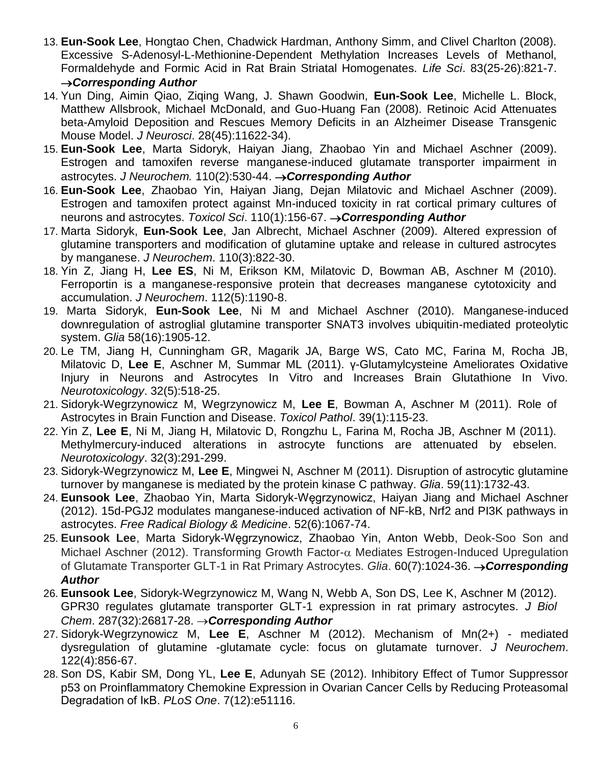- 13. **Eun-Sook Lee**, Hongtao Chen, Chadwick Hardman, Anthony Simm, and Clivel Charlton (2008). Excessive S-Adenosyl-L-Methionine-Dependent Methylation Increases Levels of Methanol, Formaldehyde and Formic Acid in Rat Brain Striatal Homogenates. *Life Sci*. 83(25-26):821-7. *Corresponding Author*
- 14. Yun Ding, Aimin Qiao, Ziqing Wang, J. Shawn Goodwin, **Eun-Sook Lee**, Michelle L. Block, Matthew Allsbrook, Michael McDonald, and Guo-Huang Fan (2008). Retinoic Acid Attenuates beta-Amyloid Deposition and Rescues Memory Deficits in an Alzheimer Disease Transgenic Mouse Model. *J Neurosci*. 28(45):11622-34).
- 15. **Eun-Sook Lee**, Marta Sidoryk, Haiyan Jiang, Zhaobao Yin and Michael Aschner (2009). Estrogen and tamoxifen reverse manganese-induced glutamate transporter impairment in astrocytes. *J Neurochem.* 110(2):530-44. *Corresponding Author*
- 16. **Eun-Sook Lee**, Zhaobao Yin, Haiyan Jiang, Dejan Milatovic and Michael Aschner (2009). Estrogen and tamoxifen protect against Mn-induced toxicity in rat cortical primary cultures of neurons and astrocytes. *Toxicol Sci*. 110(1):156-67. → **Corresponding Author**
- 17. Marta Sidoryk, **Eun-Sook Lee**, Jan Albrecht, Michael Aschner (2009). Altered expression of glutamine transporters and modification of glutamine uptake and release in cultured astrocytes by manganese. *J Neurochem*. 110(3):822-30.
- 18. Yin Z, Jiang H, **Lee ES**, Ni M, Erikson KM, Milatovic D, Bowman AB, Aschner M (2010). Ferroportin is a manganese-responsive protein that decreases manganese cytotoxicity and accumulation. *J Neurochem*. 112(5):1190-8.
- 19. Marta Sidoryk, **Eun-Sook Lee**, Ni M and Michael Aschner (2010). Manganese-induced downregulation of astroglial glutamine transporter SNAT3 involves ubiquitin-mediated proteolytic system. *Glia* 58(16):1905-12.
- 20. Le TM, Jiang H, Cunningham GR, Magarik JA, Barge WS, Cato MC, Farina M, Rocha JB, Milatovic D, **Lee E**, Aschner M, Summar ML (2011). γ-Glutamylcysteine Ameliorates Oxidative Injury in Neurons and Astrocytes In Vitro and Increases Brain Glutathione In Vivo. *Neurotoxicology*. 32(5):518-25.
- 21. Sidoryk-Wegrzynowicz M, Wegrzynowicz M, **Lee E**, Bowman A, Aschner M (2011). Role of Astrocytes in Brain Function and Disease. *Toxicol Pathol*. 39(1):115-23.
- 22. Yin Z, **Lee E**, Ni M, Jiang H, Milatovic D, Rongzhu L, Farina M, Rocha JB, Aschner M (2011). Methylmercury-induced alterations in astrocyte functions are attenuated by ebselen. *Neurotoxicology*. 32(3):291-299.
- 23. Sidoryk-Wegrzynowicz M, **Lee E**, Mingwei N, Aschner M (2011). Disruption of astrocytic glutamine turnover by manganese is mediated by the protein kinase C pathway. *Glia*. 59(11):1732-43.
- 24. **Eunsook Lee**, Zhaobao Yin, Marta Sidoryk-Węgrzynowicz, Haiyan Jiang and Michael Aschner (2012). 15d-PGJ2 modulates manganese-induced activation of NF-kB, Nrf2 and PI3K pathways in astrocytes. *Free Radical Biology & Medicine*. 52(6):1067-74.
- 25. **Eunsook Lee**, Marta Sidoryk-Węgrzynowicz, Zhaobao Yin, Anton Webb, Deok-Soo Son and Michael Aschner (2012). Transforming Growth Factor- $\alpha$  Mediates Estrogen-Induced Upregulation of Glutamate Transporter GLT-1 in Rat Primary Astrocytes. *Glia*. 60(7):1024-36. → **Corresponding** *Author*
- 26. **Eunsook Lee**, Sidoryk-Wegrzynowicz M, Wang N, Webb A, Son DS, Lee K, Aschner M (2012). GPR30 regulates glutamate transporter GLT-1 expression in rat primary astrocytes. *J Biol Chem*. 287(32):26817-28. *Corresponding Author*
- 27. Sidoryk-Wegrzynowicz M, **Lee E**, Aschner M (2012). Mechanism of Mn(2+) mediated dysregulation of glutamine -glutamate cycle: focus on glutamate turnover. *J Neurochem*. 122(4):856-67.
- 28. Son DS, Kabir SM, Dong YL, **Lee E**, Adunyah SE (2012). Inhibitory Effect of Tumor Suppressor p53 on Proinflammatory Chemokine Expression in Ovarian Cancer Cells by Reducing Proteasomal Degradation of IκB. *PLoS One*. 7(12):e51116.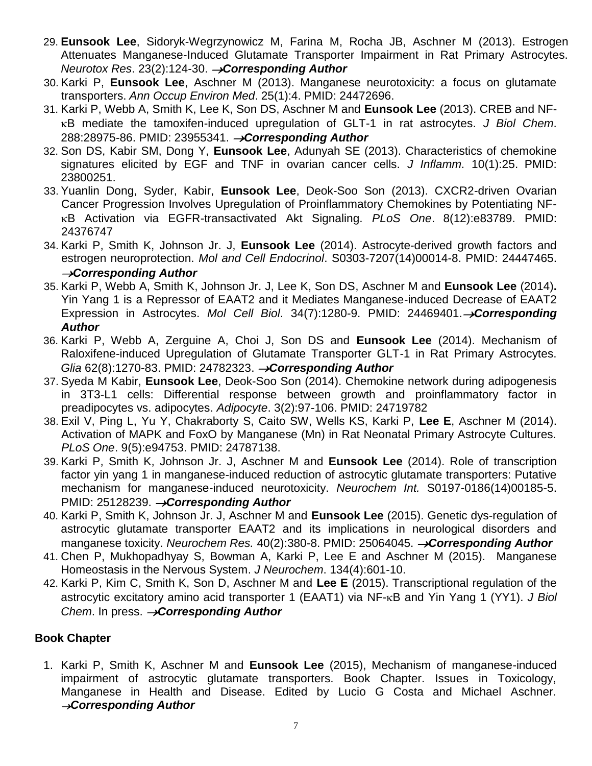- 29. **Eunsook Lee**, Sidoryk-Wegrzynowicz M, Farina M, Rocha JB, Aschner M (2013). Estrogen Attenuates Manganese-Induced Glutamate Transporter Impairment in Rat Primary Astrocytes. *Neurotox Res.* 23(2):124-30. → Corresponding Author
- 30. Karki P, **Eunsook Lee**, Aschner M (2013). Manganese neurotoxicity: a focus on glutamate transporters. *Ann Occup Environ Med*. 25(1):4. PMID: 24472696.
- 31. Karki P, Webb A, Smith K, Lee K, Son DS, Aschner M and **Eunsook Lee** (2013). CREB and NF- B mediate the tamoxifen-induced upregulation of GLT-1 in rat astrocytes. *J Biol Chem*. 288:28975-86. PMID: 23955341. *Corresponding Author*
- 32. Son DS, Kabir SM, Dong Y, **Eunsook Lee**, Adunyah SE (2013). Characteristics of chemokine signatures elicited by EGF and TNF in ovarian cancer cells. *J Inflamm*. 10(1):25. PMID: 23800251.
- 33. Yuanlin Dong, Syder, Kabir, **Eunsook Lee**, Deok-Soo Son (2013). CXCR2-driven Ovarian Cancer Progression Involves Upregulation of Proinflammatory Chemokines by Potentiating NF- B Activation via EGFR-transactivated Akt Signaling. *PLoS One*. 8(12):e83789. PMID: 24376747
- 34. Karki P, Smith K, Johnson Jr. J, **Eunsook Lee** (2014). Astrocyte-derived growth factors and estrogen neuroprotection. *Mol and Cell Endocrinol*. S0303-7207(14)00014-8. PMID: 24447465. *Corresponding Author*
- 35. Karki P, Webb A, Smith K, Johnson Jr. J, Lee K, Son DS, Aschner M and **Eunsook Lee** (2014)**.** Yin Yang 1 is a Repressor of EAAT2 and it Mediates Manganese-induced Decrease of EAAT2 Expression in Astrocytes. *Mol Cell Biol.* 34(7):1280-9. PMID: 24469401. > Corresponding *Author*
- 36. Karki P, Webb A, Zerguine A, Choi J, Son DS and **Eunsook Lee** (2014). Mechanism of Raloxifene-induced Upregulation of Glutamate Transporter GLT-1 in Rat Primary Astrocytes. *Glia* 62(8):1270-83. PMID: 24782323. *Corresponding Author*
- 37. Syeda M Kabir, **Eunsook Lee**, Deok-Soo Son (2014). Chemokine network during adipogenesis in 3T3-L1 cells: Differential response between growth and proinflammatory factor in preadipocytes vs. adipocytes. *Adipocyte*. 3(2):97-106. PMID: 24719782
- 38. Exil V, Ping L, Yu Y, Chakraborty S, Caito SW, Wells KS, Karki P, **Lee E**, Aschner M (2014). Activation of MAPK and FoxO by Manganese (Mn) in Rat Neonatal Primary Astrocyte Cultures. *PLoS One*. 9(5):e94753. PMID: 24787138.
- 39. Karki P, Smith K, Johnson Jr. J, Aschner M and **Eunsook Lee** (2014). Role of transcription factor yin yang 1 in manganese-induced reduction of astrocytic glutamate transporters: Putative mechanism for manganese-induced neurotoxicity. *Neurochem Int.* S0197-0186(14)00185-5. PMID: 25128239. → Corresponding Author
- 40. Karki P, Smith K, Johnson Jr. J, Aschner M and **Eunsook Lee** (2015). Genetic dys-regulation of astrocytic glutamate transporter EAAT2 and its implications in neurological disorders and manganese toxicity. *Neurochem Res.* 40(2):380-8. PMID: 25064045. → **Corresponding Author**
- 41. Chen P, Mukhopadhyay S, Bowman A, Karki P, Lee E and Aschner M (2015). Manganese Homeostasis in the Nervous System. *J Neurochem*. 134(4):601-10.
- 42. Karki P, Kim C, Smith K, Son D, Aschner M and **Lee E** (2015). Transcriptional regulation of the astrocytic excitatory amino acid transporter 1 (EAAT1) via NF-<sub>K</sub>B and Yin Yang 1 (YY1). *J Biol Chem.* In press. **>Corresponding Author**

# **Book Chapter**

1. Karki P, Smith K, Aschner M and **Eunsook Lee** (2015), Mechanism of manganese-induced impairment of astrocytic glutamate transporters. Book Chapter. Issues in Toxicology, Manganese in Health and Disease. Edited by Lucio G Costa and Michael Aschner. *Corresponding Author*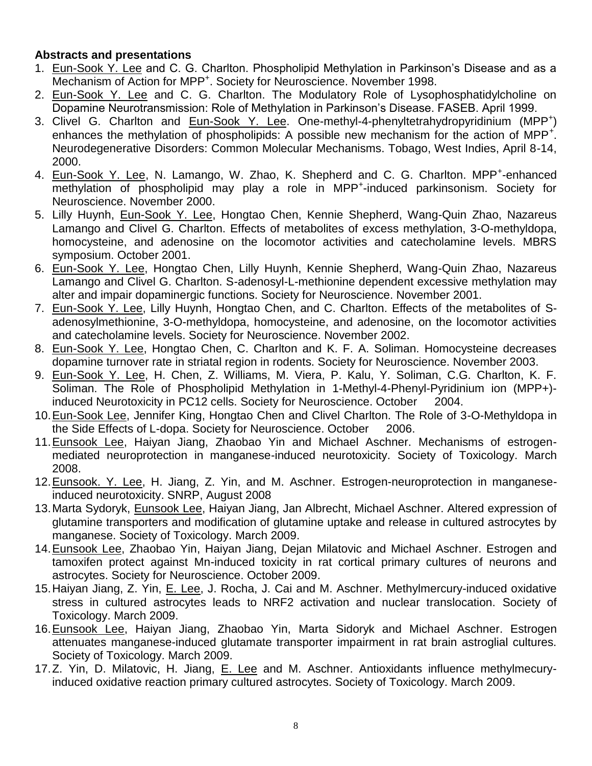#### **Abstracts and presentations**

- 1. Eun-Sook Y. Lee and C. G. Charlton. Phospholipid Methylation in Parkinson's Disease and as a Mechanism of Action for MPP<sup>+</sup>. Society for Neuroscience. November 1998.
- 2. Eun-Sook Y. Lee and C. G. Charlton. The Modulatory Role of Lysophosphatidylcholine on Dopamine Neurotransmission: Role of Methylation in Parkinson's Disease. FASEB. April 1999.
- 3. Clivel G. Charlton and **Eun-Sook Y. Lee. One-methyl-4-phenyltetrahydropyridinium** (MPP<sup>+</sup>) enhances the methylation of phospholipids: A possible new mechanism for the action of MPP<sup>+</sup>. Neurodegenerative Disorders: Common Molecular Mechanisms. Tobago, West Indies, April 8-14, 2000.
- 4. Eun-Sook Y. Lee, N. Lamango, W. Zhao, K. Shepherd and C. G. Charlton. MPP<sup>+</sup>-enhanced methylation of phospholipid may play a role in MPP<sup>+</sup>-induced parkinsonism. Society for Neuroscience. November 2000.
- 5. Lilly Huynh, Eun-Sook Y. Lee, Hongtao Chen, Kennie Shepherd, Wang-Quin Zhao, Nazareus Lamango and Clivel G. Charlton. Effects of metabolites of excess methylation, 3-O-methyldopa, homocysteine, and adenosine on the locomotor activities and catecholamine levels. MBRS symposium. October 2001.
- 6. Eun-Sook Y. Lee, Hongtao Chen, Lilly Huynh, Kennie Shepherd, Wang-Quin Zhao, Nazareus Lamango and Clivel G. Charlton. S-adenosyl-L-methionine dependent excessive methylation may alter and impair dopaminergic functions. Society for Neuroscience. November 2001.
- 7. Eun-Sook Y. Lee, Lilly Huynh, Hongtao Chen, and C. Charlton. Effects of the metabolites of Sadenosylmethionine, 3-O-methyldopa, homocysteine, and adenosine, on the locomotor activities and catecholamine levels. Society for Neuroscience. November 2002.
- 8. Eun-Sook Y. Lee, Hongtao Chen, C. Charlton and K. F. A. Soliman. Homocysteine decreases dopamine turnover rate in striatal region in rodents. Society for Neuroscience. November 2003.
- 9. Eun-Sook Y. Lee, H. Chen, Z. Williams, M. Viera, P. Kalu, Y. Soliman, C.G. Charlton, K. F. Soliman. The Role of Phospholipid Methylation in 1-Methyl-4-Phenyl-Pyridinium ion (MPP+) induced Neurotoxicity in PC12 cells. Society for Neuroscience. October 2004.
- 10.Eun-Sook Lee, Jennifer King, Hongtao Chen and Clivel Charlton. The Role of 3-O-Methyldopa in the Side Effects of L-dopa. Society for Neuroscience. October 2006.
- 11.Eunsook Lee, Haiyan Jiang, Zhaobao Yin and Michael Aschner. Mechanisms of estrogenmediated neuroprotection in manganese-induced neurotoxicity. Society of Toxicology. March 2008.
- 12.Eunsook. Y. Lee, H. Jiang, Z. Yin, and M. Aschner. Estrogen-neuroprotection in manganeseinduced neurotoxicity. SNRP, August 2008
- 13. Marta Sydoryk, Eunsook Lee, Haiyan Jiang, Jan Albrecht, Michael Aschner. Altered expression of glutamine transporters and modification of glutamine uptake and release in cultured astrocytes by manganese. Society of Toxicology. March 2009.
- 14.Eunsook Lee, Zhaobao Yin, Haiyan Jiang, Dejan Milatovic and Michael Aschner. Estrogen and tamoxifen protect against Mn-induced toxicity in rat cortical primary cultures of neurons and astrocytes. Society for Neuroscience. October 2009.
- 15.Haiyan Jiang, Z. Yin, E. Lee, J. Rocha, J. Cai and M. Aschner. Methylmercury-induced oxidative stress in cultured astrocytes leads to NRF2 activation and nuclear translocation. Society of Toxicology. March 2009.
- 16.Eunsook Lee, Haiyan Jiang, Zhaobao Yin, Marta Sidoryk and Michael Aschner. Estrogen attenuates manganese-induced glutamate transporter impairment in rat brain astroglial cultures. Society of Toxicology. March 2009.
- 17.Z. Yin, D. Milatovic, H. Jiang, E. Lee and M. Aschner. Antioxidants influence methylmecuryinduced oxidative reaction primary cultured astrocytes. Society of Toxicology. March 2009.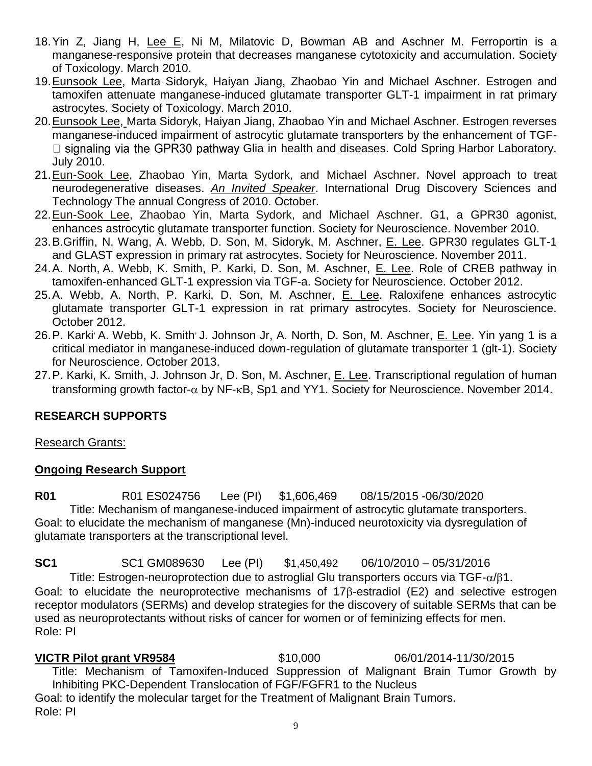- 18. Yin Z, Jiang H, Lee E, Ni M, Milatovic D, Bowman AB and Aschner M. Ferroportin is a manganese-responsive protein that decreases manganese cytotoxicity and accumulation. Society of Toxicology. March 2010.
- 19.Eunsook Lee, Marta Sidoryk, Haiyan Jiang, Zhaobao Yin and Michael Aschner. Estrogen and tamoxifen attenuate manganese-induced glutamate transporter GLT-1 impairment in rat primary astrocytes. Society of Toxicology. March 2010.
- 20.Eunsook Lee, Marta Sidoryk, Haiyan Jiang, Zhaobao Yin and Michael Aschner. Estrogen reverses manganese-induced impairment of astrocytic glutamate transporters by the enhancement of TGF- $\Box$  signaling via the GPR30 pathway Glia in health and diseases. Cold Spring Harbor Laboratory. July 2010.
- 21.Eun-Sook Lee, Zhaobao Yin, Marta Sydork, and Michael Aschner. Novel approach to treat neurodegenerative diseases. *An Invited Speaker*. International Drug Discovery Sciences and Technology The annual Congress of 2010. October.
- 22.Eun-Sook Lee, Zhaobao Yin, Marta Sydork, and Michael Aschner. G1, a GPR30 agonist, enhances astrocytic glutamate transporter function. Society for Neuroscience. November 2010.
- 23.B.Griffin, N. Wang, A. Webb, D. Son, M. Sidoryk, M. Aschner, E. Lee. GPR30 regulates GLT-1 and GLAST expression in primary rat astrocytes. Society for Neuroscience. November 2011.
- 24.A. North, A. Webb, K. Smith, P. Karki, D. Son, M. Aschner, E. Lee. Role of CREB pathway in tamoxifen-enhanced GLT-1 expression via TGF-a. Society for Neuroscience. October 2012.
- 25.A. Webb, A. North, P. Karki, D. Son, M. Aschner, E. Lee. Raloxifene enhances astrocytic glutamate transporter GLT-1 expression in rat primary astrocytes. Society for Neuroscience. October 2012.
- 26.P. Karki<sup>,</sup> A. Webb, K. Smith<sup>,</sup> J. Johnson Jr, A. North, D. Son, M. Aschner, E. Lee. Yin yang 1 is a critical mediator in manganese-induced down-regulation of glutamate transporter 1 (glt-1). Society for Neuroscience. October 2013.
- 27. P. Karki, K. Smith, J. Johnson Jr, D. Son, M. Aschner, E. Lee. Transcriptional regulation of human transforming growth factor- $\alpha$  by NF- $\kappa$ B, Sp1 and YY1. Society for Neuroscience. November 2014.

### **RESEARCH SUPPORTS**

### Research Grants:

### **Ongoing Research Support**

**R01** R01 ES024756 Lee (PI) \$1,606,469 08/15/2015 -06/30/2020 Title: Mechanism of manganese-induced impairment of astrocytic glutamate transporters. Goal: to elucidate the mechanism of manganese (Mn)-induced neurotoxicity via dysregulation of glutamate transporters at the transcriptional level.

**SC1** SC1 GM089630 Lee (PI) \$1,450,492 06/10/2010 – 05/31/2016 Title: Estrogen-neuroprotection due to astroglial Glu transporters occurs via  $TGF-\alpha/81$ . Goal: to elucidate the neuroprotective mechanisms of 17B-estradiol (E2) and selective estrogen receptor modulators (SERMs) and develop strategies for the discovery of suitable SERMs that can be used as neuroprotectants without risks of cancer for women or of feminizing effects for men. Role: PI

**VICTR Pilot grant VR9584** \$10,000 06/01/2014-11/30/2015 Title: Mechanism of Tamoxifen-Induced Suppression of Malignant Brain Tumor Growth by Inhibiting PKC-Dependent Translocation of FGF/FGFR1 to the Nucleus Goal: to identify the molecular target for the Treatment of Malignant Brain Tumors. Role: PI